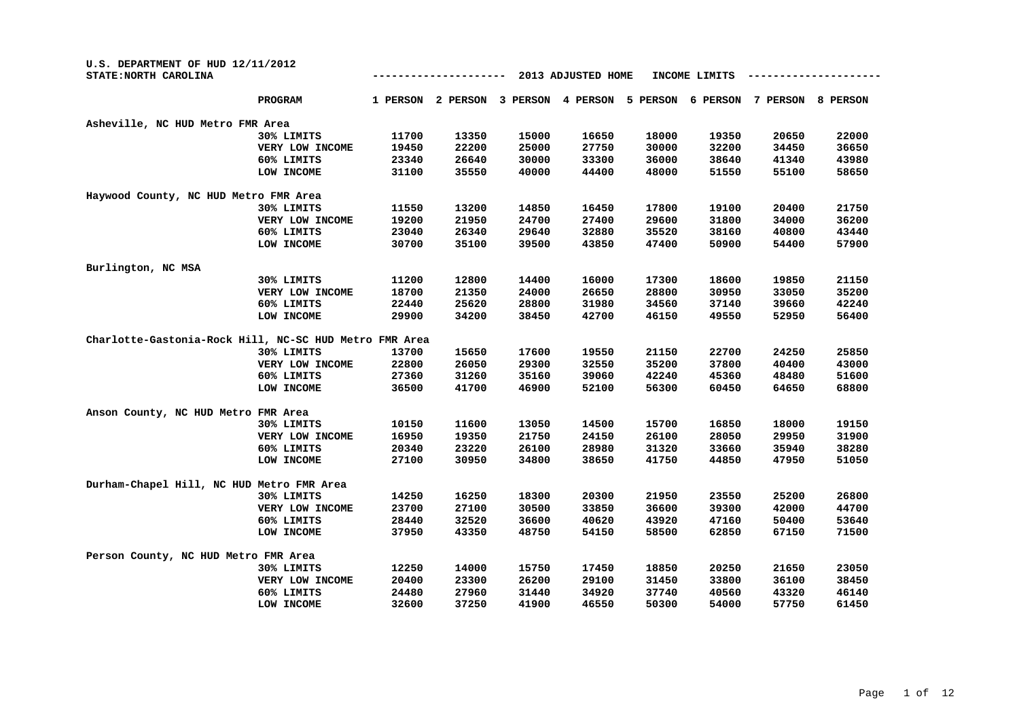| U.S. DEPARTMENT OF HUD 12/11/2012<br>STATE: NORTH CAROLINA |                 |          |          |          | 2013 ADJUSTED HOME |          | INCOME LIMITS |          |          |
|------------------------------------------------------------|-----------------|----------|----------|----------|--------------------|----------|---------------|----------|----------|
|                                                            | PROGRAM         | 1 PERSON | 2 PERSON | 3 PERSON | 4 PERSON           | 5 PERSON | 6 PERSON      | 7 PERSON | 8 PERSON |
| Asheville, NC HUD Metro FMR Area                           |                 |          |          |          |                    |          |               |          |          |
|                                                            | 30% LIMITS      | 11700    | 13350    | 15000    | 16650              | 18000    | 19350         | 20650    | 22000    |
|                                                            | VERY LOW INCOME | 19450    | 22200    | 25000    | 27750              | 30000    | 32200         | 34450    | 36650    |
|                                                            | 60% LIMITS      | 23340    | 26640    | 30000    | 33300              | 36000    | 38640         | 41340    | 43980    |
|                                                            | LOW INCOME      | 31100    | 35550    | 40000    | 44400              | 48000    | 51550         | 55100    | 58650    |
| Haywood County, NC HUD Metro FMR Area                      |                 |          |          |          |                    |          |               |          |          |
|                                                            | 30% LIMITS      | 11550    | 13200    | 14850    | 16450              | 17800    | 19100         | 20400    | 21750    |
|                                                            | VERY LOW INCOME | 19200    | 21950    | 24700    | 27400              | 29600    | 31800         | 34000    | 36200    |
|                                                            | 60% LIMITS      | 23040    | 26340    | 29640    | 32880              | 35520    | 38160         | 40800    | 43440    |
|                                                            | LOW INCOME      | 30700    | 35100    | 39500    | 43850              | 47400    | 50900         | 54400    | 57900    |
| Burlington, NC MSA                                         |                 |          |          |          |                    |          |               |          |          |
|                                                            | 30% LIMITS      | 11200    | 12800    | 14400    | 16000              | 17300    | 18600         | 19850    | 21150    |
|                                                            | VERY LOW INCOME | 18700    | 21350    | 24000    | 26650              | 28800    | 30950         | 33050    | 35200    |
|                                                            | 60% LIMITS      | 22440    | 25620    | 28800    | 31980              | 34560    | 37140         | 39660    | 42240    |
|                                                            | LOW INCOME      | 29900    | 34200    | 38450    | 42700              | 46150    | 49550         | 52950    | 56400    |
| Charlotte-Gastonia-Rock Hill, NC-SC HUD Metro FMR Area     |                 |          |          |          |                    |          |               |          |          |
|                                                            | 30% LIMITS      | 13700    | 15650    | 17600    | 19550              | 21150    | 22700         | 24250    | 25850    |
|                                                            | VERY LOW INCOME | 22800    | 26050    | 29300    | 32550              | 35200    | 37800         | 40400    | 43000    |
|                                                            | 60% LIMITS      | 27360    | 31260    | 35160    | 39060              | 42240    | 45360         | 48480    | 51600    |
|                                                            | LOW INCOME      | 36500    | 41700    | 46900    | 52100              | 56300    | 60450         | 64650    | 68800    |
| Anson County, NC HUD Metro FMR Area                        |                 |          |          |          |                    |          |               |          |          |
|                                                            | 30% LIMITS      | 10150    | 11600    | 13050    | 14500              | 15700    | 16850         | 18000    | 19150    |
|                                                            | VERY LOW INCOME | 16950    | 19350    | 21750    | 24150              | 26100    | 28050         | 29950    | 31900    |
|                                                            | 60% LIMITS      | 20340    | 23220    | 26100    | 28980              | 31320    | 33660         | 35940    | 38280    |
|                                                            | LOW INCOME      | 27100    | 30950    | 34800    | 38650              | 41750    | 44850         | 47950    | 51050    |
| Durham-Chapel Hill, NC HUD Metro FMR Area                  |                 |          |          |          |                    |          |               |          |          |
|                                                            | 30% LIMITS      | 14250    | 16250    | 18300    | 20300              | 21950    | 23550         | 25200    | 26800    |
|                                                            | VERY LOW INCOME | 23700    | 27100    | 30500    | 33850              | 36600    | 39300         | 42000    | 44700    |
|                                                            | 60% LIMITS      | 28440    | 32520    | 36600    | 40620              | 43920    | 47160         | 50400    | 53640    |
|                                                            | LOW INCOME      | 37950    | 43350    | 48750    | 54150              | 58500    | 62850         | 67150    | 71500    |
| Person County, NC HUD Metro FMR Area                       |                 |          |          |          |                    |          |               |          |          |
|                                                            | 30% LIMITS      | 12250    | 14000    | 15750    | 17450              | 18850    | 20250         | 21650    | 23050    |
|                                                            | VERY LOW INCOME | 20400    | 23300    | 26200    | 29100              | 31450    | 33800         | 36100    | 38450    |
|                                                            | 60% LIMITS      | 24480    | 27960    | 31440    | 34920              | 37740    | 40560         | 43320    | 46140    |
|                                                            | LOW INCOME      | 32600    | 37250    | 41900    | 46550              | 50300    | 54000         | 57750    | 61450    |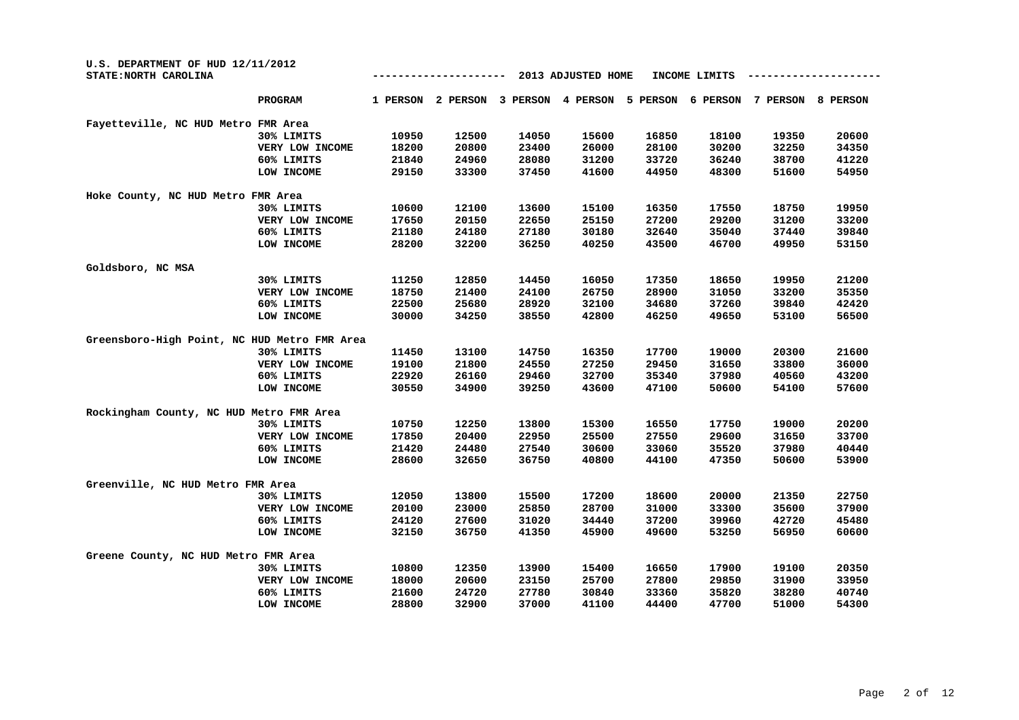| $U.S.$ DEPARTMENT OF HUD $12/11/2012$<br>STATE: NORTH CAROLINA |                 |          |          |          | 2013 ADJUSTED HOME |          | INCOME LIMITS |          |          |
|----------------------------------------------------------------|-----------------|----------|----------|----------|--------------------|----------|---------------|----------|----------|
|                                                                | PROGRAM         | 1 PERSON | 2 PERSON | 3 PERSON | 4 PERSON           | 5 PERSON | 6 PERSON      | 7 PERSON | 8 PERSON |
| Fayetteville, NC HUD Metro FMR Area                            |                 |          |          |          |                    |          |               |          |          |
|                                                                | 30% LIMITS      | 10950    | 12500    | 14050    | 15600              | 16850    | 18100         | 19350    | 20600    |
|                                                                | VERY LOW INCOME | 18200    | 20800    | 23400    | 26000              | 28100    | 30200         | 32250    | 34350    |
|                                                                | 60% LIMITS      | 21840    | 24960    | 28080    | 31200              | 33720    | 36240         | 38700    | 41220    |
|                                                                | LOW INCOME      | 29150    | 33300    | 37450    | 41600              | 44950    | 48300         | 51600    | 54950    |
| Hoke County, NC HUD Metro FMR Area                             |                 |          |          |          |                    |          |               |          |          |
|                                                                | 30% LIMITS      | 10600    | 12100    | 13600    | 15100              | 16350    | 17550         | 18750    | 19950    |
|                                                                | VERY LOW INCOME | 17650    | 20150    | 22650    | 25150              | 27200    | 29200         | 31200    | 33200    |
|                                                                | 60% LIMITS      | 21180    | 24180    | 27180    | 30180              | 32640    | 35040         | 37440    | 39840    |
|                                                                | LOW INCOME      | 28200    | 32200    | 36250    | 40250              | 43500    | 46700         | 49950    | 53150    |
| Goldsboro, NC MSA                                              |                 |          |          |          |                    |          |               |          |          |
|                                                                | 30% LIMITS      | 11250    | 12850    | 14450    | 16050              | 17350    | 18650         | 19950    | 21200    |
|                                                                | VERY LOW INCOME | 18750    | 21400    | 24100    | 26750              | 28900    | 31050         | 33200    | 35350    |
|                                                                | 60% LIMITS      | 22500    | 25680    | 28920    | 32100              | 34680    | 37260         | 39840    | 42420    |
|                                                                | LOW INCOME      | 30000    | 34250    | 38550    | 42800              | 46250    | 49650         | 53100    | 56500    |
| Greensboro-High Point, NC HUD Metro FMR Area                   |                 |          |          |          |                    |          |               |          |          |
|                                                                | 30% LIMITS      | 11450    | 13100    | 14750    | 16350              | 17700    | 19000         | 20300    | 21600    |
|                                                                | VERY LOW INCOME | 19100    | 21800    | 24550    | 27250              | 29450    | 31650         | 33800    | 36000    |
|                                                                | 60% LIMITS      | 22920    | 26160    | 29460    | 32700              | 35340    | 37980         | 40560    | 43200    |
|                                                                | LOW INCOME      | 30550    | 34900    | 39250    | 43600              | 47100    | 50600         | 54100    | 57600    |
| Rockingham County, NC HUD Metro FMR Area                       |                 |          |          |          |                    |          |               |          |          |
|                                                                | 30% LIMITS      | 10750    | 12250    | 13800    | 15300              | 16550    | 17750         | 19000    | 20200    |
|                                                                | VERY LOW INCOME | 17850    | 20400    | 22950    | 25500              | 27550    | 29600         | 31650    | 33700    |
|                                                                | 60% LIMITS      | 21420    | 24480    | 27540    | 30600              | 33060    | 35520         | 37980    | 40440    |
|                                                                | LOW INCOME      | 28600    | 32650    | 36750    | 40800              | 44100    | 47350         | 50600    | 53900    |
| Greenville, NC HUD Metro FMR Area                              |                 |          |          |          |                    |          |               |          |          |
|                                                                | 30% LIMITS      | 12050    | 13800    | 15500    | 17200              | 18600    | 20000         | 21350    | 22750    |
|                                                                | VERY LOW INCOME | 20100    | 23000    | 25850    | 28700              | 31000    | 33300         | 35600    | 37900    |
|                                                                | 60% LIMITS      | 24120    | 27600    | 31020    | 34440              | 37200    | 39960         | 42720    | 45480    |
|                                                                | LOW INCOME      | 32150    | 36750    | 41350    | 45900              | 49600    | 53250         | 56950    | 60600    |
| Greene County, NC HUD Metro FMR Area                           |                 |          |          |          |                    |          |               |          |          |
|                                                                | 30% LIMITS      | 10800    | 12350    | 13900    | 15400              | 16650    | 17900         | 19100    | 20350    |
|                                                                | VERY LOW INCOME | 18000    | 20600    | 23150    | 25700              | 27800    | 29850         | 31900    | 33950    |
|                                                                | 60% LIMITS      | 21600    | 24720    | 27780    | 30840              | 33360    | 35820         | 38280    | 40740    |
|                                                                | LOW INCOME      | 28800    | 32900    | 37000    | 41100              | 44400    | 47700         | 51000    | 54300    |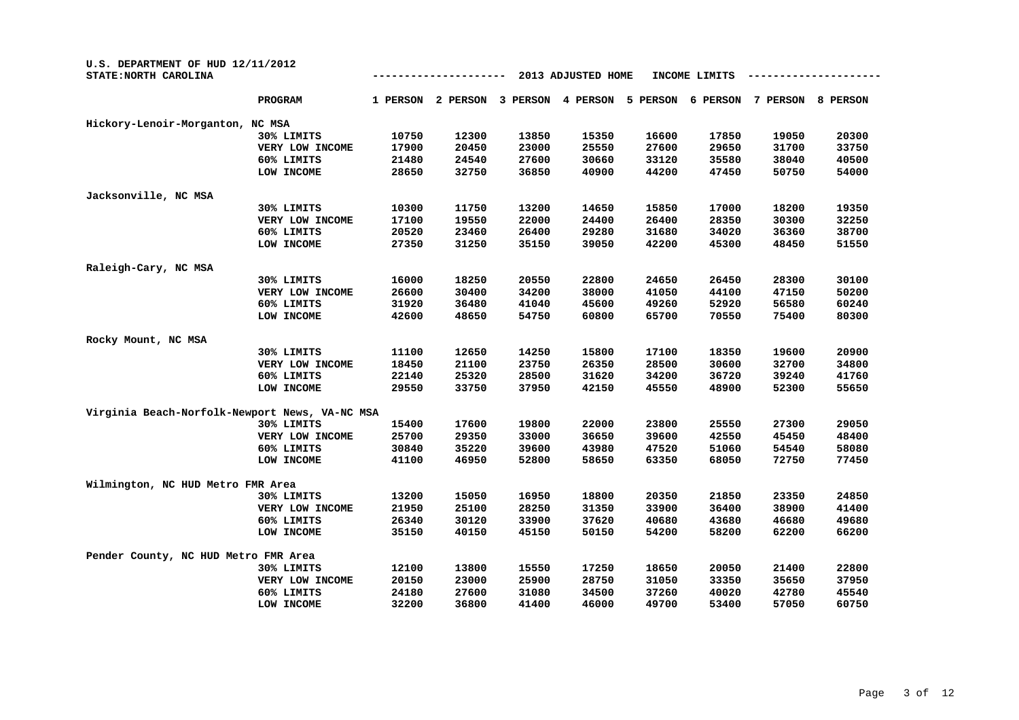| $U.S.$ DEPARTMENT OF HUD $12/11/2012$<br>STATE: NORTH CAROLINA |                 |          |          |          | 2013 ADJUSTED HOME |          | INCOME LIMITS |          |          |
|----------------------------------------------------------------|-----------------|----------|----------|----------|--------------------|----------|---------------|----------|----------|
|                                                                | PROGRAM         | 1 PERSON | 2 PERSON | 3 PERSON | 4 PERSON           | 5 PERSON | 6 PERSON      | 7 PERSON | 8 PERSON |
| Hickory-Lenoir-Morganton, NC MSA                               |                 |          |          |          |                    |          |               |          |          |
|                                                                | 30% LIMITS      | 10750    | 12300    | 13850    | 15350              | 16600    | 17850         | 19050    | 20300    |
|                                                                | VERY LOW INCOME | 17900    | 20450    | 23000    | 25550              | 27600    | 29650         | 31700    | 33750    |
|                                                                | 60% LIMITS      | 21480    | 24540    | 27600    | 30660              | 33120    | 35580         | 38040    | 40500    |
|                                                                | LOW INCOME      | 28650    | 32750    | 36850    | 40900              | 44200    | 47450         | 50750    | 54000    |
| Jacksonville, NC MSA                                           |                 |          |          |          |                    |          |               |          |          |
|                                                                | 30% LIMITS      | 10300    | 11750    | 13200    | 14650              | 15850    | 17000         | 18200    | 19350    |
|                                                                | VERY LOW INCOME | 17100    | 19550    | 22000    | 24400              | 26400    | 28350         | 30300    | 32250    |
|                                                                | 60% LIMITS      | 20520    | 23460    | 26400    | 29280              | 31680    | 34020         | 36360    | 38700    |
|                                                                | LOW INCOME      | 27350    | 31250    | 35150    | 39050              | 42200    | 45300         | 48450    | 51550    |
| Raleigh-Cary, NC MSA                                           |                 |          |          |          |                    |          |               |          |          |
|                                                                | 30% LIMITS      | 16000    | 18250    | 20550    | 22800              | 24650    | 26450         | 28300    | 30100    |
|                                                                | VERY LOW INCOME | 26600    | 30400    | 34200    | 38000              | 41050    | 44100         | 47150    | 50200    |
|                                                                | 60% LIMITS      | 31920    | 36480    | 41040    | 45600              | 49260    | 52920         | 56580    | 60240    |
|                                                                | LOW INCOME      | 42600    | 48650    | 54750    | 60800              | 65700    | 70550         | 75400    | 80300    |
| Rocky Mount, NC MSA                                            |                 |          |          |          |                    |          |               |          |          |
|                                                                | 30% LIMITS      | 11100    | 12650    | 14250    | 15800              | 17100    | 18350         | 19600    | 20900    |
|                                                                | VERY LOW INCOME | 18450    | 21100    | 23750    | 26350              | 28500    | 30600         | 32700    | 34800    |
|                                                                | 60% LIMITS      | 22140    | 25320    | 28500    | 31620              | 34200    | 36720         | 39240    | 41760    |
|                                                                | LOW INCOME      | 29550    | 33750    | 37950    | 42150              | 45550    | 48900         | 52300    | 55650    |
| Virginia Beach-Norfolk-Newport News, VA-NC MSA                 |                 |          |          |          |                    |          |               |          |          |
|                                                                | 30% LIMITS      | 15400    | 17600    | 19800    | 22000              | 23800    | 25550         | 27300    | 29050    |
|                                                                | VERY LOW INCOME | 25700    | 29350    | 33000    | 36650              | 39600    | 42550         | 45450    | 48400    |
|                                                                | 60% LIMITS      | 30840    | 35220    | 39600    | 43980              | 47520    | 51060         | 54540    | 58080    |
|                                                                | LOW INCOME      | 41100    | 46950    | 52800    | 58650              | 63350    | 68050         | 72750    | 77450    |
| Wilmington, NC HUD Metro FMR Area                              |                 |          |          |          |                    |          |               |          |          |
|                                                                | 30% LIMITS      | 13200    | 15050    | 16950    | 18800              | 20350    | 21850         | 23350    | 24850    |
|                                                                | VERY LOW INCOME | 21950    | 25100    | 28250    | 31350              | 33900    | 36400         | 38900    | 41400    |
|                                                                | 60% LIMITS      | 26340    | 30120    | 33900    | 37620              | 40680    | 43680         | 46680    | 49680    |
|                                                                | LOW INCOME      | 35150    | 40150    | 45150    | 50150              | 54200    | 58200         | 62200    | 66200    |
| Pender County, NC HUD Metro FMR Area                           |                 |          |          |          |                    |          |               |          |          |
|                                                                | 30% LIMITS      | 12100    | 13800    | 15550    | 17250              | 18650    | 20050         | 21400    | 22800    |
|                                                                | VERY LOW INCOME | 20150    | 23000    | 25900    | 28750              | 31050    | 33350         | 35650    | 37950    |
|                                                                | 60% LIMITS      | 24180    | 27600    | 31080    | 34500              | 37260    | 40020         | 42780    | 45540    |
|                                                                | LOW INCOME      | 32200    | 36800    | 41400    | 46000              | 49700    | 53400         | 57050    | 60750    |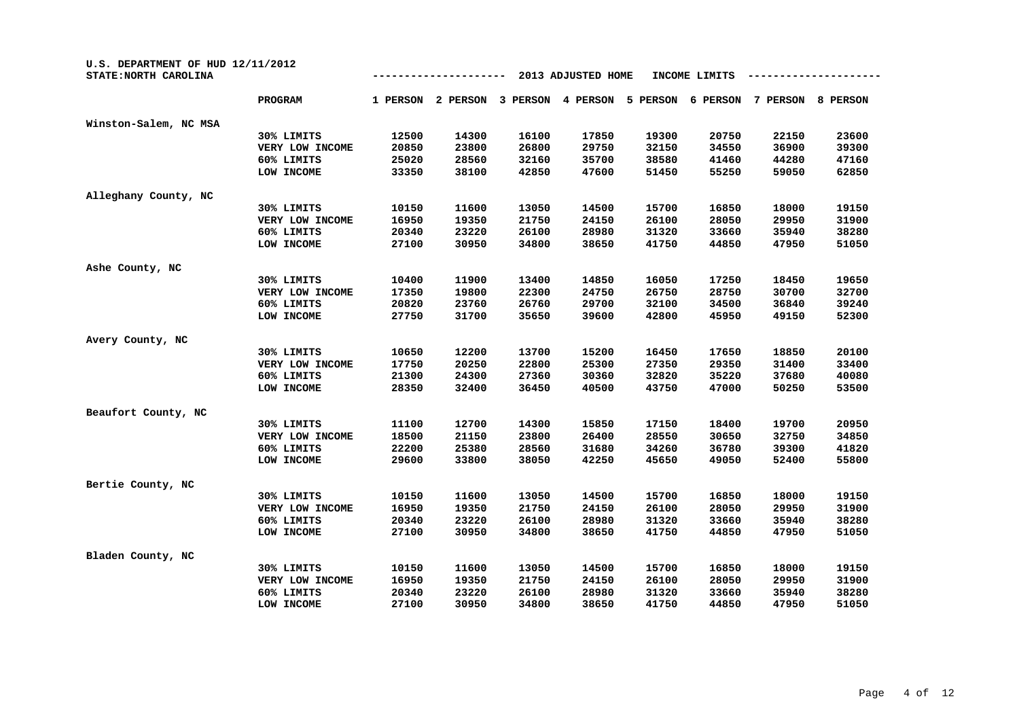| $U.S.$ DEPARTMENT OF HUD $12/11/2012$<br>STATE: NORTH CAROLINA |                 |          |          |          | 2013 ADJUSTED HOME |          | INCOME LIMITS |          |          |
|----------------------------------------------------------------|-----------------|----------|----------|----------|--------------------|----------|---------------|----------|----------|
|                                                                | PROGRAM         | 1 PERSON | 2 PERSON | 3 PERSON | 4 PERSON           | 5 PERSON | 6 PERSON      | 7 PERSON | 8 PERSON |
| Winston-Salem, NC MSA                                          |                 |          |          |          |                    |          |               |          |          |
|                                                                | 30% LIMITS      | 12500    | 14300    | 16100    | 17850              | 19300    | 20750         | 22150    | 23600    |
|                                                                | VERY LOW INCOME | 20850    | 23800    | 26800    | 29750              | 32150    | 34550         | 36900    | 39300    |
|                                                                | 60% LIMITS      | 25020    | 28560    | 32160    | 35700              | 38580    | 41460         | 44280    | 47160    |
|                                                                | LOW INCOME      | 33350    | 38100    | 42850    | 47600              | 51450    | 55250         | 59050    | 62850    |
| Alleghany County, NC                                           |                 |          |          |          |                    |          |               |          |          |
|                                                                | 30% LIMITS      | 10150    | 11600    | 13050    | 14500              | 15700    | 16850         | 18000    | 19150    |
|                                                                | VERY LOW INCOME | 16950    | 19350    | 21750    | 24150              | 26100    | 28050         | 29950    | 31900    |
|                                                                | 60% LIMITS      | 20340    | 23220    | 26100    | 28980              | 31320    | 33660         | 35940    | 38280    |
|                                                                | LOW INCOME      | 27100    | 30950    | 34800    | 38650              | 41750    | 44850         | 47950    | 51050    |
| Ashe County, NC                                                |                 |          |          |          |                    |          |               |          |          |
|                                                                | 30% LIMITS      | 10400    | 11900    | 13400    | 14850              | 16050    | 17250         | 18450    | 19650    |
|                                                                | VERY LOW INCOME | 17350    | 19800    | 22300    | 24750              | 26750    | 28750         | 30700    | 32700    |
|                                                                | 60% LIMITS      | 20820    | 23760    | 26760    | 29700              | 32100    | 34500         | 36840    | 39240    |
|                                                                | LOW INCOME      | 27750    | 31700    | 35650    | 39600              | 42800    | 45950         | 49150    | 52300    |
| Avery County, NC                                               |                 |          |          |          |                    |          |               |          |          |
|                                                                | 30% LIMITS      | 10650    | 12200    | 13700    | 15200              | 16450    | 17650         | 18850    | 20100    |
|                                                                | VERY LOW INCOME | 17750    | 20250    | 22800    | 25300              | 27350    | 29350         | 31400    | 33400    |
|                                                                | 60% LIMITS      | 21300    | 24300    | 27360    | 30360              | 32820    | 35220         | 37680    | 40080    |
|                                                                | LOW INCOME      | 28350    | 32400    | 36450    | 40500              | 43750    | 47000         | 50250    | 53500    |
| Beaufort County, NC                                            |                 |          |          |          |                    |          |               |          |          |
|                                                                | 30% LIMITS      | 11100    | 12700    | 14300    | 15850              | 17150    | 18400         | 19700    | 20950    |
|                                                                | VERY LOW INCOME | 18500    | 21150    | 23800    | 26400              | 28550    | 30650         | 32750    | 34850    |
|                                                                | 60% LIMITS      | 22200    | 25380    | 28560    | 31680              | 34260    | 36780         | 39300    | 41820    |
|                                                                | LOW INCOME      | 29600    | 33800    | 38050    | 42250              | 45650    | 49050         | 52400    | 55800    |
| Bertie County, NC                                              |                 |          |          |          |                    |          |               |          |          |
|                                                                | 30% LIMITS      | 10150    | 11600    | 13050    | 14500              | 15700    | 16850         | 18000    | 19150    |
|                                                                | VERY LOW INCOME | 16950    | 19350    | 21750    | 24150              | 26100    | 28050         | 29950    | 31900    |
|                                                                | 60% LIMITS      | 20340    | 23220    | 26100    | 28980              | 31320    | 33660         | 35940    | 38280    |
|                                                                | LOW INCOME      | 27100    | 30950    | 34800    | 38650              | 41750    | 44850         | 47950    | 51050    |
| Bladen County, NC                                              |                 |          |          |          |                    |          |               |          |          |
|                                                                | 30% LIMITS      | 10150    | 11600    | 13050    | 14500              | 15700    | 16850         | 18000    | 19150    |
|                                                                | VERY LOW INCOME | 16950    | 19350    | 21750    | 24150              | 26100    | 28050         | 29950    | 31900    |
|                                                                | 60% LIMITS      | 20340    | 23220    | 26100    | 28980              | 31320    | 33660         | 35940    | 38280    |
|                                                                | LOW INCOME      | 27100    | 30950    | 34800    | 38650              | 41750    | 44850         | 47950    | 51050    |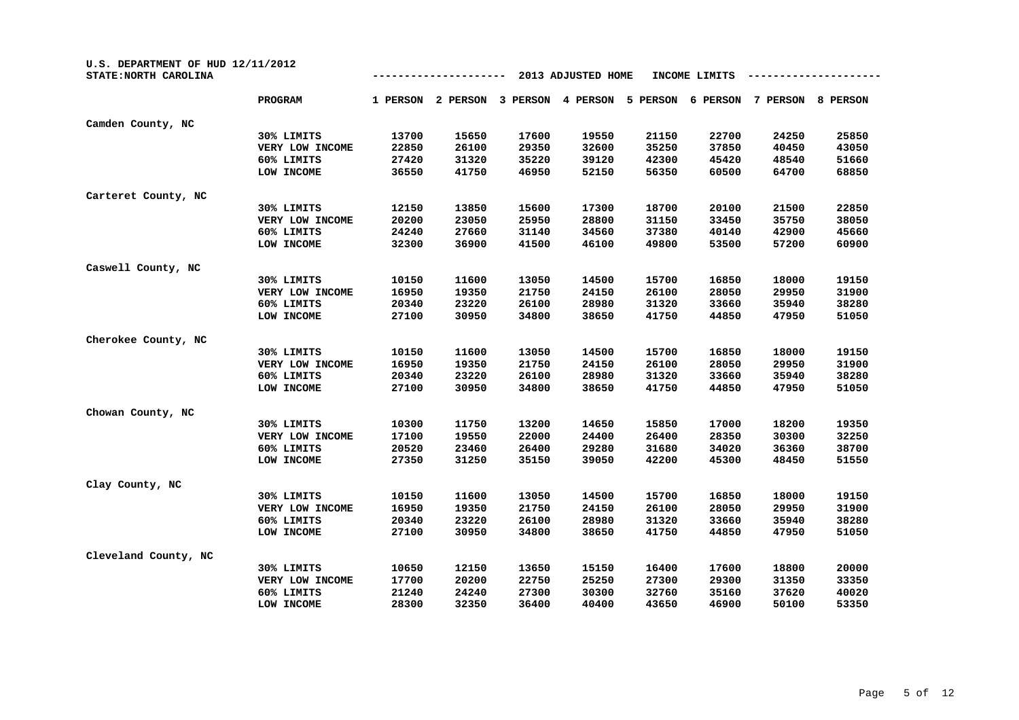| U.S. DEPARTMENT OF HUD 12/11/2012<br>STATE: NORTH CAROLINA |                 |          |          |          | 2013 ADJUSTED HOME |          | INCOME LIMITS |          |          |
|------------------------------------------------------------|-----------------|----------|----------|----------|--------------------|----------|---------------|----------|----------|
|                                                            | PROGRAM         | 1 PERSON | 2 PERSON | 3 PERSON | 4 PERSON           | 5 PERSON | 6 PERSON      | 7 PERSON | 8 PERSON |
| Camden County, NC                                          |                 |          |          |          |                    |          |               |          |          |
|                                                            | 30% LIMITS      | 13700    | 15650    | 17600    | 19550              | 21150    | 22700         | 24250    | 25850    |
|                                                            | VERY LOW INCOME | 22850    | 26100    | 29350    | 32600              | 35250    | 37850         | 40450    | 43050    |
|                                                            | 60% LIMITS      | 27420    | 31320    | 35220    | 39120              | 42300    | 45420         | 48540    | 51660    |
|                                                            | LOW INCOME      | 36550    | 41750    | 46950    | 52150              | 56350    | 60500         | 64700    | 68850    |
| Carteret County, NC                                        |                 |          |          |          |                    |          |               |          |          |
|                                                            | 30% LIMITS      | 12150    | 13850    | 15600    | 17300              | 18700    | 20100         | 21500    | 22850    |
|                                                            | VERY LOW INCOME | 20200    | 23050    | 25950    | 28800              | 31150    | 33450         | 35750    | 38050    |
|                                                            | 60% LIMITS      | 24240    | 27660    | 31140    | 34560              | 37380    | 40140         | 42900    | 45660    |
|                                                            | LOW INCOME      | 32300    | 36900    | 41500    | 46100              | 49800    | 53500         | 57200    | 60900    |
| Caswell County, NC                                         |                 |          |          |          |                    |          |               |          |          |
|                                                            | 30% LIMITS      | 10150    | 11600    | 13050    | 14500              | 15700    | 16850         | 18000    | 19150    |
|                                                            | VERY LOW INCOME | 16950    | 19350    | 21750    | 24150              | 26100    | 28050         | 29950    | 31900    |
|                                                            | 60% LIMITS      | 20340    | 23220    | 26100    | 28980              | 31320    | 33660         | 35940    | 38280    |
|                                                            | LOW INCOME      | 27100    | 30950    | 34800    | 38650              | 41750    | 44850         | 47950    | 51050    |
| Cherokee County, NC                                        |                 |          |          |          |                    |          |               |          |          |
|                                                            | 30% LIMITS      | 10150    | 11600    | 13050    | 14500              | 15700    | 16850         | 18000    | 19150    |
|                                                            | VERY LOW INCOME | 16950    | 19350    | 21750    | 24150              | 26100    | 28050         | 29950    | 31900    |
|                                                            | 60% LIMITS      | 20340    | 23220    | 26100    | 28980              | 31320    | 33660         | 35940    | 38280    |
|                                                            | LOW INCOME      | 27100    | 30950    | 34800    | 38650              | 41750    | 44850         | 47950    | 51050    |
| Chowan County, NC                                          |                 |          |          |          |                    |          |               |          |          |
|                                                            | 30% LIMITS      | 10300    | 11750    | 13200    | 14650              | 15850    | 17000         | 18200    | 19350    |
|                                                            | VERY LOW INCOME | 17100    | 19550    | 22000    | 24400              | 26400    | 28350         | 30300    | 32250    |
|                                                            | 60% LIMITS      | 20520    | 23460    | 26400    | 29280              | 31680    | 34020         | 36360    | 38700    |
|                                                            | LOW INCOME      | 27350    | 31250    | 35150    | 39050              | 42200    | 45300         | 48450    | 51550    |
| Clay County, NC                                            |                 |          |          |          |                    |          |               |          |          |
|                                                            | 30% LIMITS      | 10150    | 11600    | 13050    | 14500              | 15700    | 16850         | 18000    | 19150    |
|                                                            | VERY LOW INCOME | 16950    | 19350    | 21750    | 24150              | 26100    | 28050         | 29950    | 31900    |
|                                                            | 60% LIMITS      | 20340    | 23220    | 26100    | 28980              | 31320    | 33660         | 35940    | 38280    |
|                                                            | LOW INCOME      | 27100    | 30950    | 34800    | 38650              | 41750    | 44850         | 47950    | 51050    |
| Cleveland County, NC                                       |                 |          |          |          |                    |          |               |          |          |
|                                                            | 30% LIMITS      | 10650    | 12150    | 13650    | 15150              | 16400    | 17600         | 18800    | 20000    |
|                                                            | VERY LOW INCOME | 17700    | 20200    | 22750    | 25250              | 27300    | 29300         | 31350    | 33350    |
|                                                            | 60% LIMITS      | 21240    | 24240    | 27300    | 30300              | 32760    | 35160         | 37620    | 40020    |
|                                                            | LOW INCOME      | 28300    | 32350    | 36400    | 40400              | 43650    | 46900         | 50100    | 53350    |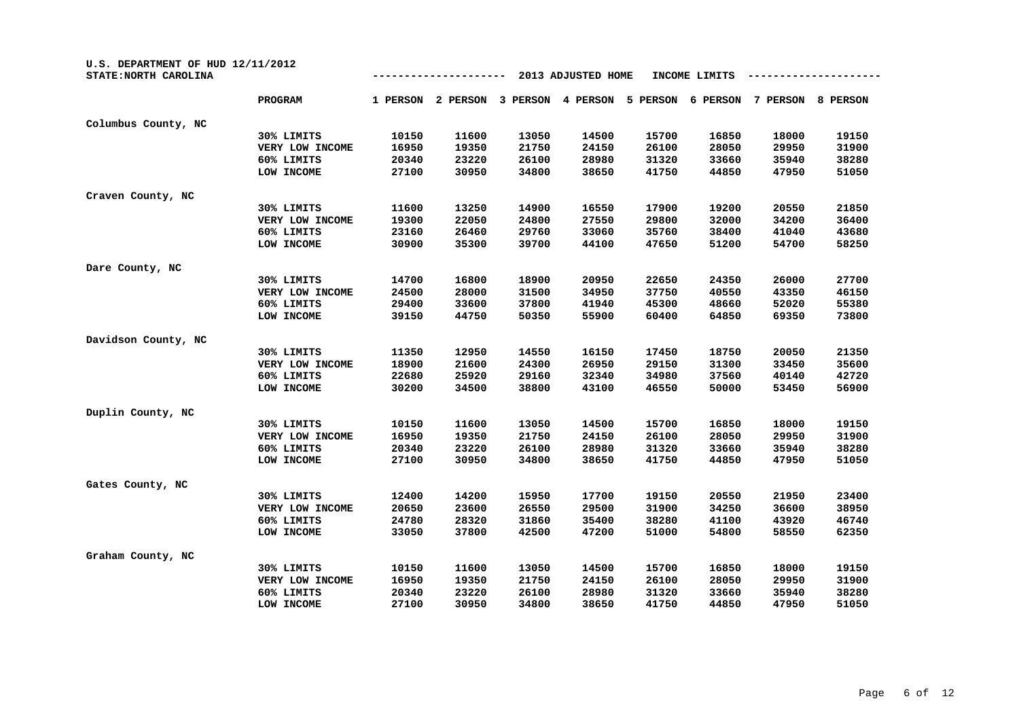| U.S. DEPARTMENT OF HUD 12/11/2012<br>STATE: NORTH CAROLINA |                 |          |          |          | 2013 ADJUSTED HOME |          | INCOME LIMITS |          |          |
|------------------------------------------------------------|-----------------|----------|----------|----------|--------------------|----------|---------------|----------|----------|
|                                                            | PROGRAM         | 1 PERSON | 2 PERSON | 3 PERSON | 4 PERSON           | 5 PERSON | 6 PERSON      | 7 PERSON | 8 PERSON |
| Columbus County, NC                                        |                 |          |          |          |                    |          |               |          |          |
|                                                            | 30% LIMITS      | 10150    | 11600    | 13050    | 14500              | 15700    | 16850         | 18000    | 19150    |
|                                                            | VERY LOW INCOME | 16950    | 19350    | 21750    | 24150              | 26100    | 28050         | 29950    | 31900    |
|                                                            | 60% LIMITS      | 20340    | 23220    | 26100    | 28980              | 31320    | 33660         | 35940    | 38280    |
|                                                            | LOW INCOME      | 27100    | 30950    | 34800    | 38650              | 41750    | 44850         | 47950    | 51050    |
| Craven County, NC                                          |                 |          |          |          |                    |          |               |          |          |
|                                                            | 30% LIMITS      | 11600    | 13250    | 14900    | 16550              | 17900    | 19200         | 20550    | 21850    |
|                                                            | VERY LOW INCOME | 19300    | 22050    | 24800    | 27550              | 29800    | 32000         | 34200    | 36400    |
|                                                            | 60% LIMITS      | 23160    | 26460    | 29760    | 33060              | 35760    | 38400         | 41040    | 43680    |
|                                                            | LOW INCOME      | 30900    | 35300    | 39700    | 44100              | 47650    | 51200         | 54700    | 58250    |
| Dare County, NC                                            |                 |          |          |          |                    |          |               |          |          |
|                                                            | 30% LIMITS      | 14700    | 16800    | 18900    | 20950              | 22650    | 24350         | 26000    | 27700    |
|                                                            | VERY LOW INCOME | 24500    | 28000    | 31500    | 34950              | 37750    | 40550         | 43350    | 46150    |
|                                                            | 60% LIMITS      | 29400    | 33600    | 37800    | 41940              | 45300    | 48660         | 52020    | 55380    |
|                                                            | LOW INCOME      | 39150    | 44750    | 50350    | 55900              | 60400    | 64850         | 69350    | 73800    |
| Davidson County, NC                                        |                 |          |          |          |                    |          |               |          |          |
|                                                            | 30% LIMITS      | 11350    | 12950    | 14550    | 16150              | 17450    | 18750         | 20050    | 21350    |
|                                                            | VERY LOW INCOME | 18900    | 21600    | 24300    | 26950              | 29150    | 31300         | 33450    | 35600    |
|                                                            | 60% LIMITS      | 22680    | 25920    | 29160    | 32340              | 34980    | 37560         | 40140    | 42720    |
|                                                            | LOW INCOME      | 30200    | 34500    | 38800    | 43100              | 46550    | 50000         | 53450    | 56900    |
| Duplin County, NC                                          |                 |          |          |          |                    |          |               |          |          |
|                                                            | 30% LIMITS      | 10150    | 11600    | 13050    | 14500              | 15700    | 16850         | 18000    | 19150    |
|                                                            | VERY LOW INCOME | 16950    | 19350    | 21750    | 24150              | 26100    | 28050         | 29950    | 31900    |
|                                                            | 60% LIMITS      | 20340    | 23220    | 26100    | 28980              | 31320    | 33660         | 35940    | 38280    |
|                                                            | LOW INCOME      | 27100    | 30950    | 34800    | 38650              | 41750    | 44850         | 47950    | 51050    |
| Gates County, NC                                           |                 |          |          |          |                    |          |               |          |          |
|                                                            | 30% LIMITS      | 12400    | 14200    | 15950    | 17700              | 19150    | 20550         | 21950    | 23400    |
|                                                            | VERY LOW INCOME | 20650    | 23600    | 26550    | 29500              | 31900    | 34250         | 36600    | 38950    |
|                                                            | 60% LIMITS      | 24780    | 28320    | 31860    | 35400              | 38280    | 41100         | 43920    | 46740    |
|                                                            | LOW INCOME      | 33050    | 37800    | 42500    | 47200              | 51000    | 54800         | 58550    | 62350    |
| Graham County, NC                                          |                 |          |          |          |                    |          |               |          |          |
|                                                            | 30% LIMITS      | 10150    | 11600    | 13050    | 14500              | 15700    | 16850         | 18000    | 19150    |
|                                                            | VERY LOW INCOME | 16950    | 19350    | 21750    | 24150              | 26100    | 28050         | 29950    | 31900    |
|                                                            | 60% LIMITS      | 20340    | 23220    | 26100    | 28980              | 31320    | 33660         | 35940    | 38280    |
|                                                            | LOW INCOME      | 27100    | 30950    | 34800    | 38650              | 41750    | 44850         | 47950    | 51050    |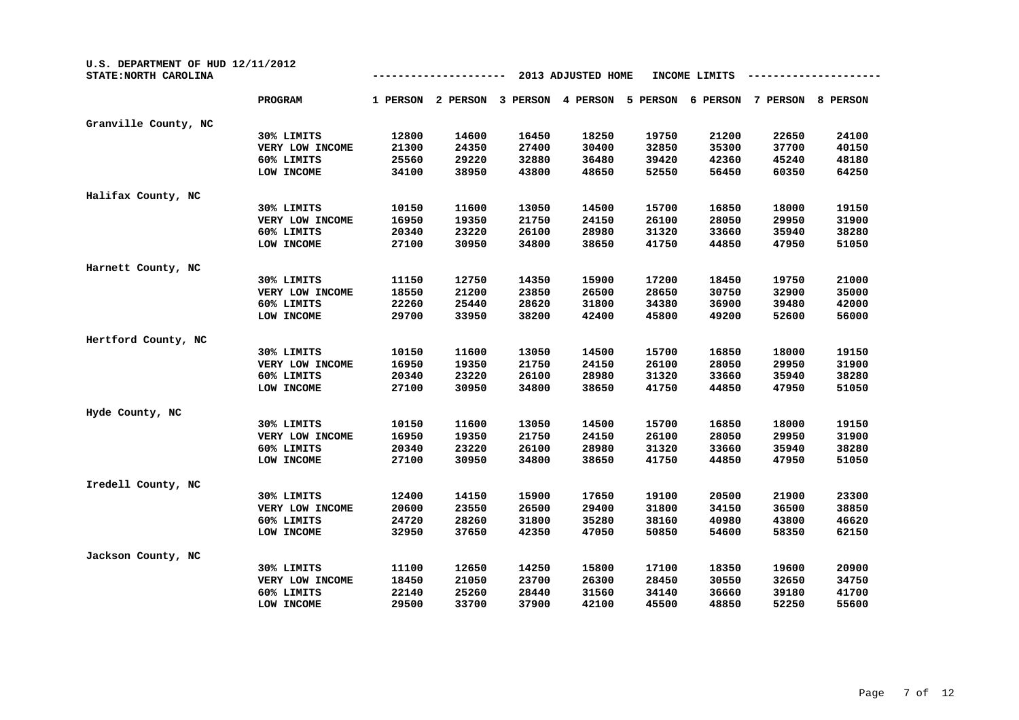| $U.S.$ DEPARTMENT OF HUD $12/11/2012$<br>STATE: NORTH CAROLINA |                 |          |          |          | 2013 ADJUSTED HOME |          | INCOME LIMITS |          |          |
|----------------------------------------------------------------|-----------------|----------|----------|----------|--------------------|----------|---------------|----------|----------|
|                                                                | <b>PROGRAM</b>  | 1 PERSON | 2 PERSON | 3 PERSON | 4 PERSON           | 5 PERSON | 6 PERSON      | 7 PERSON | 8 PERSON |
| Granville County, NC                                           |                 |          |          |          |                    |          |               |          |          |
|                                                                | 30% LIMITS      | 12800    | 14600    | 16450    | 18250              | 19750    | 21200         | 22650    | 24100    |
|                                                                | VERY LOW INCOME | 21300    | 24350    | 27400    | 30400              | 32850    | 35300         | 37700    | 40150    |
|                                                                | 60% LIMITS      | 25560    | 29220    | 32880    | 36480              | 39420    | 42360         | 45240    | 48180    |
|                                                                | LOW INCOME      | 34100    | 38950    | 43800    | 48650              | 52550    | 56450         | 60350    | 64250    |
| Halifax County, NC                                             |                 |          |          |          |                    |          |               |          |          |
|                                                                | 30% LIMITS      | 10150    | 11600    | 13050    | 14500              | 15700    | 16850         | 18000    | 19150    |
|                                                                | VERY LOW INCOME | 16950    | 19350    | 21750    | 24150              | 26100    | 28050         | 29950    | 31900    |
|                                                                | 60% LIMITS      | 20340    | 23220    | 26100    | 28980              | 31320    | 33660         | 35940    | 38280    |
|                                                                | LOW INCOME      | 27100    | 30950    | 34800    | 38650              | 41750    | 44850         | 47950    | 51050    |
| Harnett County, NC                                             |                 |          |          |          |                    |          |               |          |          |
|                                                                | 30% LIMITS      | 11150    | 12750    | 14350    | 15900              | 17200    | 18450         | 19750    | 21000    |
|                                                                | VERY LOW INCOME | 18550    | 21200    | 23850    | 26500              | 28650    | 30750         | 32900    | 35000    |
|                                                                | 60% LIMITS      | 22260    | 25440    | 28620    | 31800              | 34380    | 36900         | 39480    | 42000    |
|                                                                | LOW INCOME      | 29700    | 33950    | 38200    | 42400              | 45800    | 49200         | 52600    | 56000    |
| Hertford County, NC                                            |                 |          |          |          |                    |          |               |          |          |
|                                                                | 30% LIMITS      | 10150    | 11600    | 13050    | 14500              | 15700    | 16850         | 18000    | 19150    |
|                                                                | VERY LOW INCOME | 16950    | 19350    | 21750    | 24150              | 26100    | 28050         | 29950    | 31900    |
|                                                                | 60% LIMITS      | 20340    | 23220    | 26100    | 28980              | 31320    | 33660         | 35940    | 38280    |
|                                                                | LOW INCOME      | 27100    | 30950    | 34800    | 38650              | 41750    | 44850         | 47950    | 51050    |
| Hyde County, NC                                                |                 |          |          |          |                    |          |               |          |          |
|                                                                | 30% LIMITS      | 10150    | 11600    | 13050    | 14500              | 15700    | 16850         | 18000    | 19150    |
|                                                                | VERY LOW INCOME | 16950    | 19350    | 21750    | 24150              | 26100    | 28050         | 29950    | 31900    |
|                                                                | 60% LIMITS      | 20340    | 23220    | 26100    | 28980              | 31320    | 33660         | 35940    | 38280    |
|                                                                | LOW INCOME      | 27100    | 30950    | 34800    | 38650              | 41750    | 44850         | 47950    | 51050    |
| Iredell County, NC                                             |                 |          |          |          |                    |          |               |          |          |
|                                                                | 30% LIMITS      | 12400    | 14150    | 15900    | 17650              | 19100    | 20500         | 21900    | 23300    |
|                                                                | VERY LOW INCOME | 20600    | 23550    | 26500    | 29400              | 31800    | 34150         | 36500    | 38850    |
|                                                                | 60% LIMITS      | 24720    | 28260    | 31800    | 35280              | 38160    | 40980         | 43800    | 46620    |
|                                                                | LOW INCOME      | 32950    | 37650    | 42350    | 47050              | 50850    | 54600         | 58350    | 62150    |
| Jackson County, NC                                             |                 |          |          |          |                    |          |               |          |          |
|                                                                | 30% LIMITS      | 11100    | 12650    | 14250    | 15800              | 17100    | 18350         | 19600    | 20900    |
|                                                                | VERY LOW INCOME | 18450    | 21050    | 23700    | 26300              | 28450    | 30550         | 32650    | 34750    |
|                                                                | 60% LIMITS      | 22140    | 25260    | 28440    | 31560              | 34140    | 36660         | 39180    | 41700    |
|                                                                | LOW INCOME      | 29500    | 33700    | 37900    | 42100              | 45500    | 48850         | 52250    | 55600    |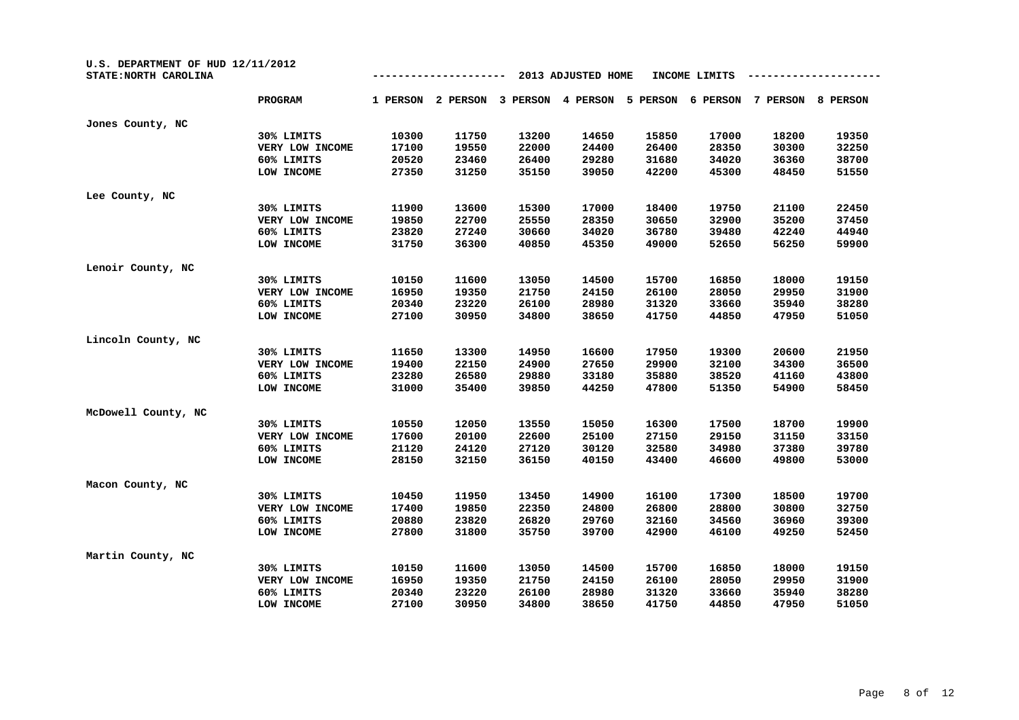| U.S. DEPARTMENT OF HUD 12/11/2012<br>STATE: NORTH CAROLINA |                 |          |          |          | 2013 ADJUSTED HOME |          | INCOME LIMITS |          |          |
|------------------------------------------------------------|-----------------|----------|----------|----------|--------------------|----------|---------------|----------|----------|
|                                                            | PROGRAM         | 1 PERSON | 2 PERSON | 3 PERSON | 4 PERSON           | 5 PERSON | 6 PERSON      | 7 PERSON | 8 PERSON |
| Jones County, NC                                           |                 |          |          |          |                    |          |               |          |          |
|                                                            | 30% LIMITS      | 10300    | 11750    | 13200    | 14650              | 15850    | 17000         | 18200    | 19350    |
|                                                            | VERY LOW INCOME | 17100    | 19550    | 22000    | 24400              | 26400    | 28350         | 30300    | 32250    |
|                                                            | 60% LIMITS      | 20520    | 23460    | 26400    | 29280              | 31680    | 34020         | 36360    | 38700    |
|                                                            | LOW INCOME      | 27350    | 31250    | 35150    | 39050              | 42200    | 45300         | 48450    | 51550    |
| Lee County, NC                                             |                 |          |          |          |                    |          |               |          |          |
|                                                            | 30% LIMITS      | 11900    | 13600    | 15300    | 17000              | 18400    | 19750         | 21100    | 22450    |
|                                                            | VERY LOW INCOME | 19850    | 22700    | 25550    | 28350              | 30650    | 32900         | 35200    | 37450    |
|                                                            | 60% LIMITS      | 23820    | 27240    | 30660    | 34020              | 36780    | 39480         | 42240    | 44940    |
|                                                            | LOW INCOME      | 31750    | 36300    | 40850    | 45350              | 49000    | 52650         | 56250    | 59900    |
| Lenoir County, NC                                          |                 |          |          |          |                    |          |               |          |          |
|                                                            | 30% LIMITS      | 10150    | 11600    | 13050    | 14500              | 15700    | 16850         | 18000    | 19150    |
|                                                            | VERY LOW INCOME | 16950    | 19350    | 21750    | 24150              | 26100    | 28050         | 29950    | 31900    |
|                                                            | 60% LIMITS      | 20340    | 23220    | 26100    | 28980              | 31320    | 33660         | 35940    | 38280    |
|                                                            | LOW INCOME      | 27100    | 30950    | 34800    | 38650              | 41750    | 44850         | 47950    | 51050    |
| Lincoln County, NC                                         |                 |          |          |          |                    |          |               |          |          |
|                                                            | 30% LIMITS      | 11650    | 13300    | 14950    | 16600              | 17950    | 19300         | 20600    | 21950    |
|                                                            | VERY LOW INCOME | 19400    | 22150    | 24900    | 27650              | 29900    | 32100         | 34300    | 36500    |
|                                                            | 60% LIMITS      | 23280    | 26580    | 29880    | 33180              | 35880    | 38520         | 41160    | 43800    |
|                                                            | LOW INCOME      | 31000    | 35400    | 39850    | 44250              | 47800    | 51350         | 54900    | 58450    |
| McDowell County, NC                                        |                 |          |          |          |                    |          |               |          |          |
|                                                            | 30% LIMITS      | 10550    | 12050    | 13550    | 15050              | 16300    | 17500         | 18700    | 19900    |
|                                                            | VERY LOW INCOME | 17600    | 20100    | 22600    | 25100              | 27150    | 29150         | 31150    | 33150    |
|                                                            | 60% LIMITS      | 21120    | 24120    | 27120    | 30120              | 32580    | 34980         | 37380    | 39780    |
|                                                            | LOW INCOME      | 28150    | 32150    | 36150    | 40150              | 43400    | 46600         | 49800    | 53000    |
| Macon County, NC                                           |                 |          |          |          |                    |          |               |          |          |
|                                                            | 30% LIMITS      | 10450    | 11950    | 13450    | 14900              | 16100    | 17300         | 18500    | 19700    |
|                                                            | VERY LOW INCOME | 17400    | 19850    | 22350    | 24800              | 26800    | 28800         | 30800    | 32750    |
|                                                            | 60% LIMITS      | 20880    | 23820    | 26820    | 29760              | 32160    | 34560         | 36960    | 39300    |
|                                                            | LOW INCOME      | 27800    | 31800    | 35750    | 39700              | 42900    | 46100         | 49250    | 52450    |
| Martin County, NC                                          |                 |          |          |          |                    |          |               |          |          |
|                                                            | 30% LIMITS      | 10150    | 11600    | 13050    | 14500              | 15700    | 16850         | 18000    | 19150    |
|                                                            | VERY LOW INCOME | 16950    | 19350    | 21750    | 24150              | 26100    | 28050         | 29950    | 31900    |
|                                                            | 60% LIMITS      | 20340    | 23220    | 26100    | 28980              | 31320    | 33660         | 35940    | 38280    |
|                                                            | LOW INCOME      | 27100    | 30950    | 34800    | 38650              | 41750    | 44850         | 47950    | 51050    |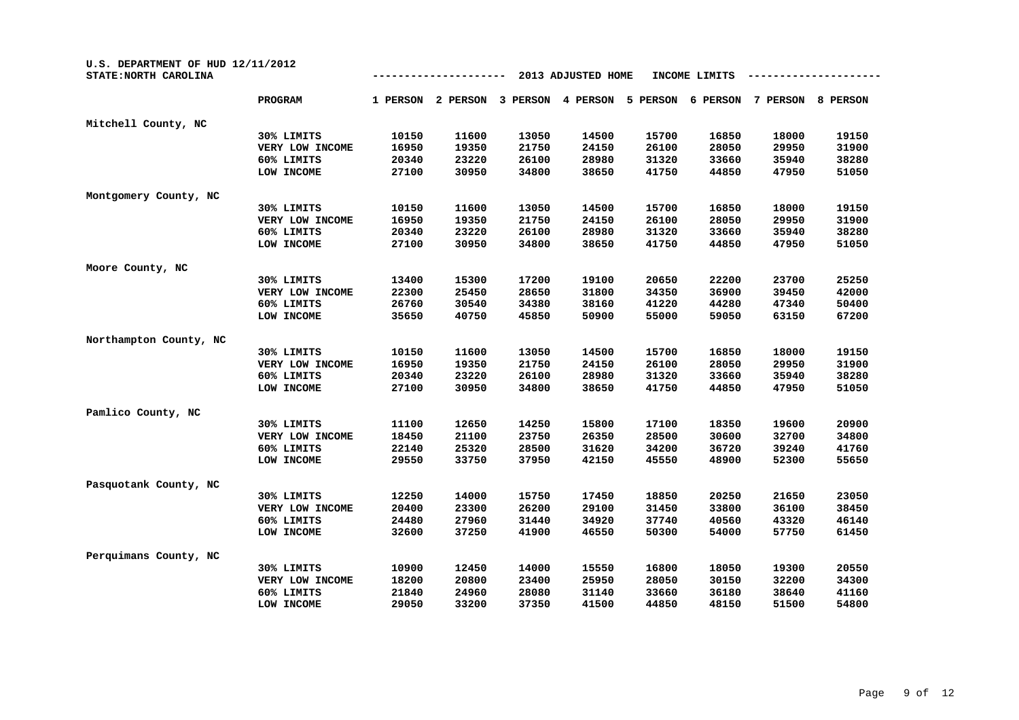| U.S. DEPARTMENT OF HUD 12/11/2012<br>STATE: NORTH CAROLINA |                 |          |          |          | 2013 ADJUSTED HOME |          | INCOME LIMITS |          |          |
|------------------------------------------------------------|-----------------|----------|----------|----------|--------------------|----------|---------------|----------|----------|
|                                                            | PROGRAM         | 1 PERSON | 2 PERSON | 3 PERSON | 4 PERSON           | 5 PERSON | 6 PERSON      | 7 PERSON | 8 PERSON |
| Mitchell County, NC                                        |                 |          |          |          |                    |          |               |          |          |
|                                                            | 30% LIMITS      | 10150    | 11600    | 13050    | 14500              | 15700    | 16850         | 18000    | 19150    |
|                                                            | VERY LOW INCOME | 16950    | 19350    | 21750    | 24150              | 26100    | 28050         | 29950    | 31900    |
|                                                            | 60% LIMITS      | 20340    | 23220    | 26100    | 28980              | 31320    | 33660         | 35940    | 38280    |
|                                                            | LOW INCOME      | 27100    | 30950    | 34800    | 38650              | 41750    | 44850         | 47950    | 51050    |
| Montgomery County, NC                                      |                 |          |          |          |                    |          |               |          |          |
|                                                            | 30% LIMITS      | 10150    | 11600    | 13050    | 14500              | 15700    | 16850         | 18000    | 19150    |
|                                                            | VERY LOW INCOME | 16950    | 19350    | 21750    | 24150              | 26100    | 28050         | 29950    | 31900    |
|                                                            | 60% LIMITS      | 20340    | 23220    | 26100    | 28980              | 31320    | 33660         | 35940    | 38280    |
|                                                            | LOW INCOME      | 27100    | 30950    | 34800    | 38650              | 41750    | 44850         | 47950    | 51050    |
| Moore County, NC                                           |                 |          |          |          |                    |          |               |          |          |
|                                                            | 30% LIMITS      | 13400    | 15300    | 17200    | 19100              | 20650    | 22200         | 23700    | 25250    |
|                                                            | VERY LOW INCOME | 22300    | 25450    | 28650    | 31800              | 34350    | 36900         | 39450    | 42000    |
|                                                            | 60% LIMITS      | 26760    | 30540    | 34380    | 38160              | 41220    | 44280         | 47340    | 50400    |
|                                                            | LOW INCOME      | 35650    | 40750    | 45850    | 50900              | 55000    | 59050         | 63150    | 67200    |
| Northampton County, NC                                     |                 |          |          |          |                    |          |               |          |          |
|                                                            | 30% LIMITS      | 10150    | 11600    | 13050    | 14500              | 15700    | 16850         | 18000    | 19150    |
|                                                            | VERY LOW INCOME | 16950    | 19350    | 21750    | 24150              | 26100    | 28050         | 29950    | 31900    |
|                                                            | 60% LIMITS      | 20340    | 23220    | 26100    | 28980              | 31320    | 33660         | 35940    | 38280    |
|                                                            | LOW INCOME      | 27100    | 30950    | 34800    | 38650              | 41750    | 44850         | 47950    | 51050    |
| Pamlico County, NC                                         |                 |          |          |          |                    |          |               |          |          |
|                                                            | 30% LIMITS      | 11100    | 12650    | 14250    | 15800              | 17100    | 18350         | 19600    | 20900    |
|                                                            | VERY LOW INCOME | 18450    | 21100    | 23750    | 26350              | 28500    | 30600         | 32700    | 34800    |
|                                                            | 60% LIMITS      | 22140    | 25320    | 28500    | 31620              | 34200    | 36720         | 39240    | 41760    |
|                                                            | LOW INCOME      | 29550    | 33750    | 37950    | 42150              | 45550    | 48900         | 52300    | 55650    |
| Pasquotank County, NC                                      |                 |          |          |          |                    |          |               |          |          |
|                                                            | 30% LIMITS      | 12250    | 14000    | 15750    | 17450              | 18850    | 20250         | 21650    | 23050    |
|                                                            | VERY LOW INCOME | 20400    | 23300    | 26200    | 29100              | 31450    | 33800         | 36100    | 38450    |
|                                                            | 60% LIMITS      | 24480    | 27960    | 31440    | 34920              | 37740    | 40560         | 43320    | 46140    |
|                                                            | LOW INCOME      | 32600    | 37250    | 41900    | 46550              | 50300    | 54000         | 57750    | 61450    |
| Perquimans County, NC                                      |                 |          |          |          |                    |          |               |          |          |
|                                                            | 30% LIMITS      | 10900    | 12450    | 14000    | 15550              | 16800    | 18050         | 19300    | 20550    |
|                                                            | VERY LOW INCOME | 18200    | 20800    | 23400    | 25950              | 28050    | 30150         | 32200    | 34300    |
|                                                            | 60% LIMITS      | 21840    | 24960    | 28080    | 31140              | 33660    | 36180         | 38640    | 41160    |
|                                                            | LOW INCOME      | 29050    | 33200    | 37350    | 41500              | 44850    | 48150         | 51500    | 54800    |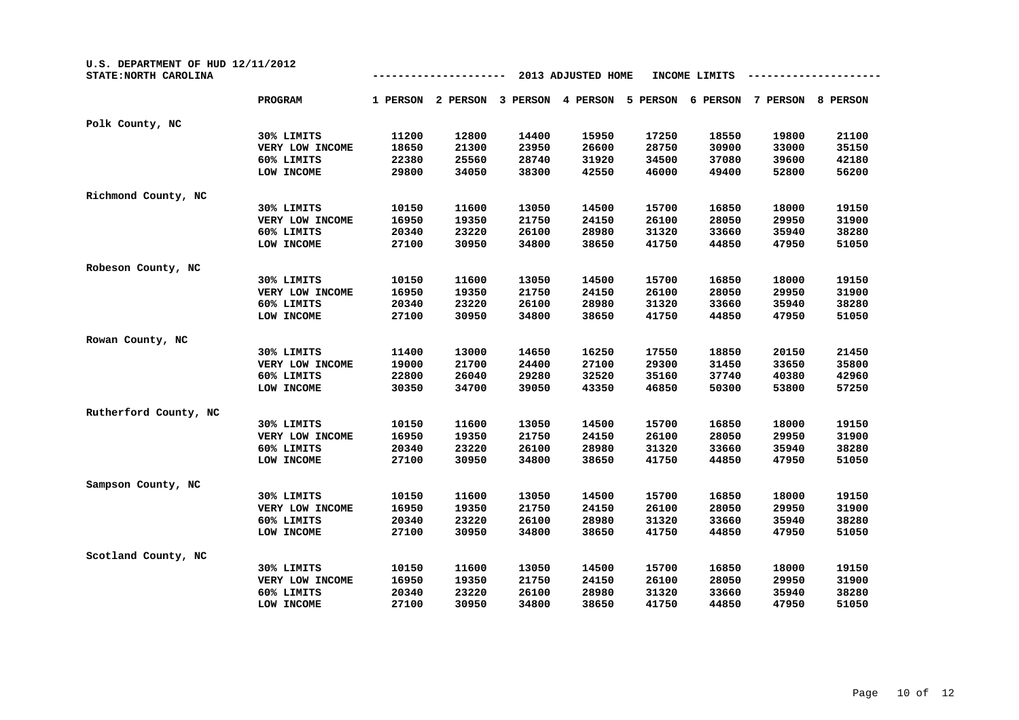| U.S. DEPARTMENT OF HUD 12/11/2012<br>STATE: NORTH CAROLINA |                 |          |          |          | 2013 ADJUSTED HOME |          | INCOME LIMITS |          |          |
|------------------------------------------------------------|-----------------|----------|----------|----------|--------------------|----------|---------------|----------|----------|
|                                                            | PROGRAM         | 1 PERSON | 2 PERSON | 3 PERSON | 4 PERSON           | 5 PERSON | 6 PERSON      | 7 PERSON | 8 PERSON |
| Polk County, NC                                            |                 |          |          |          |                    |          |               |          |          |
|                                                            | 30% LIMITS      | 11200    | 12800    | 14400    | 15950              | 17250    | 18550         | 19800    | 21100    |
|                                                            | VERY LOW INCOME | 18650    | 21300    | 23950    | 26600              | 28750    | 30900         | 33000    | 35150    |
|                                                            | 60% LIMITS      | 22380    | 25560    | 28740    | 31920              | 34500    | 37080         | 39600    | 42180    |
|                                                            | LOW INCOME      | 29800    | 34050    | 38300    | 42550              | 46000    | 49400         | 52800    | 56200    |
| Richmond County, NC                                        |                 |          |          |          |                    |          |               |          |          |
|                                                            | 30% LIMITS      | 10150    | 11600    | 13050    | 14500              | 15700    | 16850         | 18000    | 19150    |
|                                                            | VERY LOW INCOME | 16950    | 19350    | 21750    | 24150              | 26100    | 28050         | 29950    | 31900    |
|                                                            | 60% LIMITS      | 20340    | 23220    | 26100    | 28980              | 31320    | 33660         | 35940    | 38280    |
|                                                            | LOW INCOME      | 27100    | 30950    | 34800    | 38650              | 41750    | 44850         | 47950    | 51050    |
| Robeson County, NC                                         |                 |          |          |          |                    |          |               |          |          |
|                                                            | 30% LIMITS      | 10150    | 11600    | 13050    | 14500              | 15700    | 16850         | 18000    | 19150    |
|                                                            | VERY LOW INCOME | 16950    | 19350    | 21750    | 24150              | 26100    | 28050         | 29950    | 31900    |
|                                                            | 60% LIMITS      | 20340    | 23220    | 26100    | 28980              | 31320    | 33660         | 35940    | 38280    |
|                                                            | LOW INCOME      | 27100    | 30950    | 34800    | 38650              | 41750    | 44850         | 47950    | 51050    |
| Rowan County, NC                                           |                 |          |          |          |                    |          |               |          |          |
|                                                            | 30% LIMITS      | 11400    | 13000    | 14650    | 16250              | 17550    | 18850         | 20150    | 21450    |
|                                                            | VERY LOW INCOME | 19000    | 21700    | 24400    | 27100              | 29300    | 31450         | 33650    | 35800    |
|                                                            | 60% LIMITS      | 22800    | 26040    | 29280    | 32520              | 35160    | 37740         | 40380    | 42960    |
|                                                            | LOW INCOME      | 30350    | 34700    | 39050    | 43350              | 46850    | 50300         | 53800    | 57250    |
| Rutherford County, NC                                      |                 |          |          |          |                    |          |               |          |          |
|                                                            | 30% LIMITS      | 10150    | 11600    | 13050    | 14500              | 15700    | 16850         | 18000    | 19150    |
|                                                            | VERY LOW INCOME | 16950    | 19350    | 21750    | 24150              | 26100    | 28050         | 29950    | 31900    |
|                                                            | 60% LIMITS      | 20340    | 23220    | 26100    | 28980              | 31320    | 33660         | 35940    | 38280    |
|                                                            | LOW INCOME      | 27100    | 30950    | 34800    | 38650              | 41750    | 44850         | 47950    | 51050    |
| Sampson County, NC                                         |                 |          |          |          |                    |          |               |          |          |
|                                                            | 30% LIMITS      | 10150    | 11600    | 13050    | 14500              | 15700    | 16850         | 18000    | 19150    |
|                                                            | VERY LOW INCOME | 16950    | 19350    | 21750    | 24150              | 26100    | 28050         | 29950    | 31900    |
|                                                            | 60% LIMITS      | 20340    | 23220    | 26100    | 28980              | 31320    | 33660         | 35940    | 38280    |
|                                                            | LOW INCOME      | 27100    | 30950    | 34800    | 38650              | 41750    | 44850         | 47950    | 51050    |
| Scotland County, NC                                        |                 |          |          |          |                    |          |               |          |          |
|                                                            | 30% LIMITS      | 10150    | 11600    | 13050    | 14500              | 15700    | 16850         | 18000    | 19150    |
|                                                            | VERY LOW INCOME | 16950    | 19350    | 21750    | 24150              | 26100    | 28050         | 29950    | 31900    |
|                                                            | 60% LIMITS      | 20340    | 23220    | 26100    | 28980              | 31320    | 33660         | 35940    | 38280    |
|                                                            | LOW INCOME      | 27100    | 30950    | 34800    | 38650              | 41750    | 44850         | 47950    | 51050    |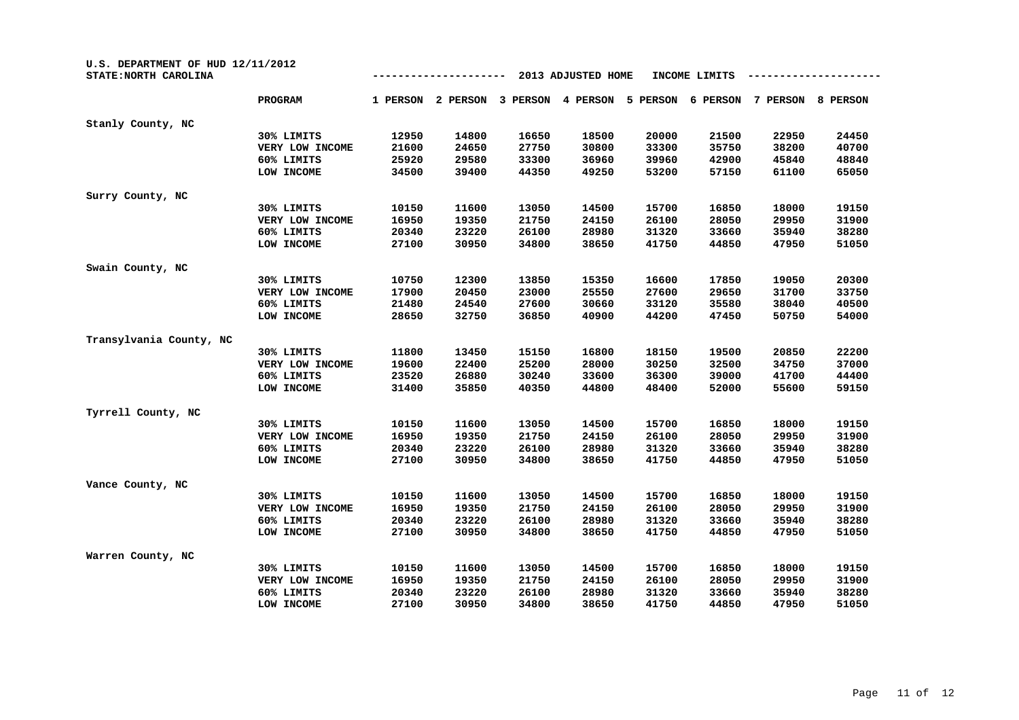| U.S. DEPARTMENT OF HUD 12/11/2012<br>STATE: NORTH CAROLINA |                 |          |          |          | 2013 ADJUSTED HOME |          | INCOME LIMITS |          |          |
|------------------------------------------------------------|-----------------|----------|----------|----------|--------------------|----------|---------------|----------|----------|
|                                                            | <b>PROGRAM</b>  | 1 PERSON | 2 PERSON | 3 PERSON | 4 PERSON           | 5 PERSON | 6 PERSON      | 7 PERSON | 8 PERSON |
| Stanly County, NC                                          |                 |          |          |          |                    |          |               |          |          |
|                                                            | 30% LIMITS      | 12950    | 14800    | 16650    | 18500              | 20000    | 21500         | 22950    | 24450    |
|                                                            | VERY LOW INCOME | 21600    | 24650    | 27750    | 30800              | 33300    | 35750         | 38200    | 40700    |
|                                                            | 60% LIMITS      | 25920    | 29580    | 33300    | 36960              | 39960    | 42900         | 45840    | 48840    |
|                                                            | LOW INCOME      | 34500    | 39400    | 44350    | 49250              | 53200    | 57150         | 61100    | 65050    |
| Surry County, NC                                           |                 |          |          |          |                    |          |               |          |          |
|                                                            | 30% LIMITS      | 10150    | 11600    | 13050    | 14500              | 15700    | 16850         | 18000    | 19150    |
|                                                            | VERY LOW INCOME | 16950    | 19350    | 21750    | 24150              | 26100    | 28050         | 29950    | 31900    |
|                                                            | 60% LIMITS      | 20340    | 23220    | 26100    | 28980              | 31320    | 33660         | 35940    | 38280    |
|                                                            | LOW INCOME      | 27100    | 30950    | 34800    | 38650              | 41750    | 44850         | 47950    | 51050    |
| Swain County, NC                                           |                 |          |          |          |                    |          |               |          |          |
|                                                            | 30% LIMITS      | 10750    | 12300    | 13850    | 15350              | 16600    | 17850         | 19050    | 20300    |
|                                                            | VERY LOW INCOME | 17900    | 20450    | 23000    | 25550              | 27600    | 29650         | 31700    | 33750    |
|                                                            | 60% LIMITS      | 21480    | 24540    | 27600    | 30660              | 33120    | 35580         | 38040    | 40500    |
|                                                            | LOW INCOME      | 28650    | 32750    | 36850    | 40900              | 44200    | 47450         | 50750    | 54000    |
| Transylvania County, NC                                    |                 |          |          |          |                    |          |               |          |          |
|                                                            | 30% LIMITS      | 11800    | 13450    | 15150    | 16800              | 18150    | 19500         | 20850    | 22200    |
|                                                            | VERY LOW INCOME | 19600    | 22400    | 25200    | 28000              | 30250    | 32500         | 34750    | 37000    |
|                                                            | 60% LIMITS      | 23520    | 26880    | 30240    | 33600              | 36300    | 39000         | 41700    | 44400    |
|                                                            | LOW INCOME      | 31400    | 35850    | 40350    | 44800              | 48400    | 52000         | 55600    | 59150    |
| Tyrrell County, NC                                         |                 |          |          |          |                    |          |               |          |          |
|                                                            | 30% LIMITS      | 10150    | 11600    | 13050    | 14500              | 15700    | 16850         | 18000    | 19150    |
|                                                            | VERY LOW INCOME | 16950    | 19350    | 21750    | 24150              | 26100    | 28050         | 29950    | 31900    |
|                                                            | 60% LIMITS      | 20340    | 23220    | 26100    | 28980              | 31320    | 33660         | 35940    | 38280    |
|                                                            | LOW INCOME      | 27100    | 30950    | 34800    | 38650              | 41750    | 44850         | 47950    | 51050    |
| Vance County, NC                                           |                 |          |          |          |                    |          |               |          |          |
|                                                            | 30% LIMITS      | 10150    | 11600    | 13050    | 14500              | 15700    | 16850         | 18000    | 19150    |
|                                                            | VERY LOW INCOME | 16950    | 19350    | 21750    | 24150              | 26100    | 28050         | 29950    | 31900    |
|                                                            | 60% LIMITS      | 20340    | 23220    | 26100    | 28980              | 31320    | 33660         | 35940    | 38280    |
|                                                            | LOW INCOME      | 27100    | 30950    | 34800    | 38650              | 41750    | 44850         | 47950    | 51050    |
| Warren County, NC                                          |                 |          |          |          |                    |          |               |          |          |
|                                                            | 30% LIMITS      | 10150    | 11600    | 13050    | 14500              | 15700    | 16850         | 18000    | 19150    |
|                                                            | VERY LOW INCOME | 16950    | 19350    | 21750    | 24150              | 26100    | 28050         | 29950    | 31900    |
|                                                            | 60% LIMITS      | 20340    | 23220    | 26100    | 28980              | 31320    | 33660         | 35940    | 38280    |
|                                                            | LOW INCOME      | 27100    | 30950    | 34800    | 38650              | 41750    | 44850         | 47950    | 51050    |